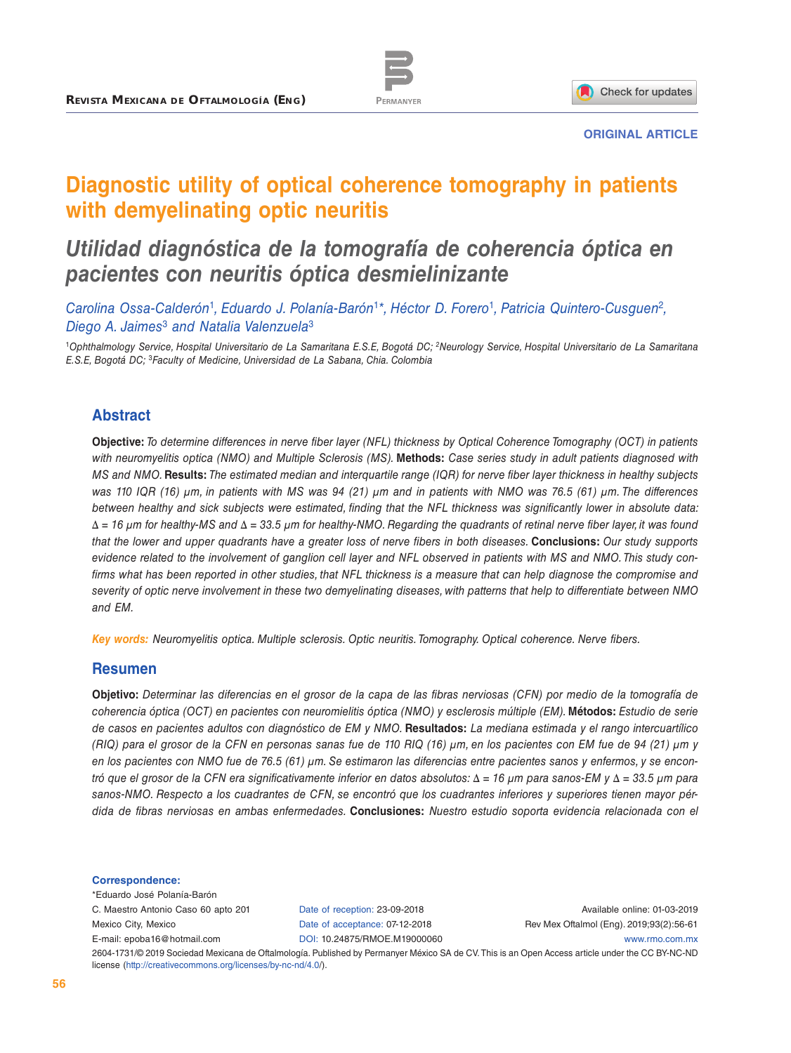

**ORIGINAL ARTICLE**

# **Diagnostic utility of optical coherence tomography in patients with demyelinating optic neuritis**

## *Utilidad diagnóstica de la tomografía de coherencia óptica en pacientes con neuritis óptica desmielinizante*

*Carolina Ossa-Calderón*<sup>1</sup>*, Eduardo J. Polanía-Barón*<sup>1</sup>*\*, Héctor D. Forero*<sup>1</sup>*, Patricia Quintero-Cusguen*<sup>2</sup>*, Diego A. Jaimes*<sup>3</sup> *and Natalia Valenzuela*<sup>3</sup>

<sup>1</sup>*Ophthalmology Service, Hospital Universitario de La Samaritana E.S.E, Bogotá DC; 2Neurology Service, Hospital Universitario de La Samaritana E.S.E, Bogotá DC;* <sup>3</sup>*Faculty of Medicine, Universidad de La Sabana, Chia. Colombia*

### **Abstract**

**Objective:** *To determine differences in nerve fiber layer (NFL) thickness by Optical Coherence Tomography (OCT) in patients with neuromyelitis optica (NMO) and Multiple Sclerosis (MS).* **Methods:** *Case series study in adult patients diagnosed with MS and NMO.* **Results:** *The estimated median and interquartile range (IQR) for nerve fiber layer thickness in healthy subjects was 110 IQR (16) μm, in patients with MS was 94 (21) μm and in patients with NMO was 76.5 (61) μm. The differences between healthy and sick subjects were estimated, finding that the NFL thickness was significantly lower in absolute data: Δ = 16 μm for healthy-MS and Δ = 33.5 μm for healthy-NMO. Regarding the quadrants of retinal nerve fiber layer, it was found that the lower and upper quadrants have a greater loss of nerve fibers in both diseases.* **Conclusions:** *Our study supports evidence related to the involvement of ganglion cell layer and NFL observed in patients with MS and NMO. This study con*firms what has been reported in other studies, that NFL thickness is a measure that can help diagnose the compromise and *severity of optic nerve involvement in these two demyelinating diseases, with patterns that help to differentiate between NMO and EM.*

*Key words: Neuromyelitis optica. Multiple sclerosis. Optic neuritis. Tomography. Optical coherence. Nerve fibers.*

#### **Resumen**

**Objetivo:** *Determinar las diferencias en el grosor de la capa de las fibras nerviosas (CFN) por medio de la tomografía de coherencia óptica (OCT) en pacientes con neuromielitis óptica (NMO) y esclerosis múltiple (EM).* **Métodos:** *Estudio de serie de casos en pacientes adultos con diagnóstico de EM y NMO.* **Resultados:** *La mediana estimada y el rango intercuartílico (RIQ) para el grosor de la CFN en personas sanas fue de 110 RIQ (16) μm, en los pacientes con EM fue de 94 (21) μm y en los pacientes con NMO fue de 76.5 (61) μm. Se estimaron las diferencias entre pacientes sanos y enfermos, y se encontró que el grosor de la CFN era significativamente inferior en datos absolutos: Δ = 16 μm para sanos-EM y Δ = 33.5 μm para sanos-NMO. Respecto a los cuadrantes de CFN, se encontró que los cuadrantes inferiores y superiores tienen mayor pérdida de fibras nerviosas en ambas enfermedades.* **Conclusiones:** *Nuestro estudio soporta evidencia relacionada con el* 

#### **Correspondence:**

\*Eduardo José Polanía-Barón C. Maestro Antonio Caso 60 apto 201 Mexico City, Mexico E-mail: [epoba16@hotmail.com](mailto:epoba16%40hotmail.com?subject=)

Date of reception: 23-09-2018 Date of acceptance: 07-12-2018 DOI: [10.24875/RMOE.M19000060](http://dx.doi.org/10.24875/RMOE.M19000060)

Available online: 01-03-2019 Rev Mex Oftalmol (Eng). 2019;93(2):56-61 [www.rmo.com.mx](http://www.rmo.com.mx)

2604-1731/© 2019 Sociedad Mexicana de Oftalmología. Published by Permanyer México SA de CV. This is an Open Access article under the CC BY-NC-ND license (<http://creativecommons.org/licenses/by-nc-nd/4.0/>).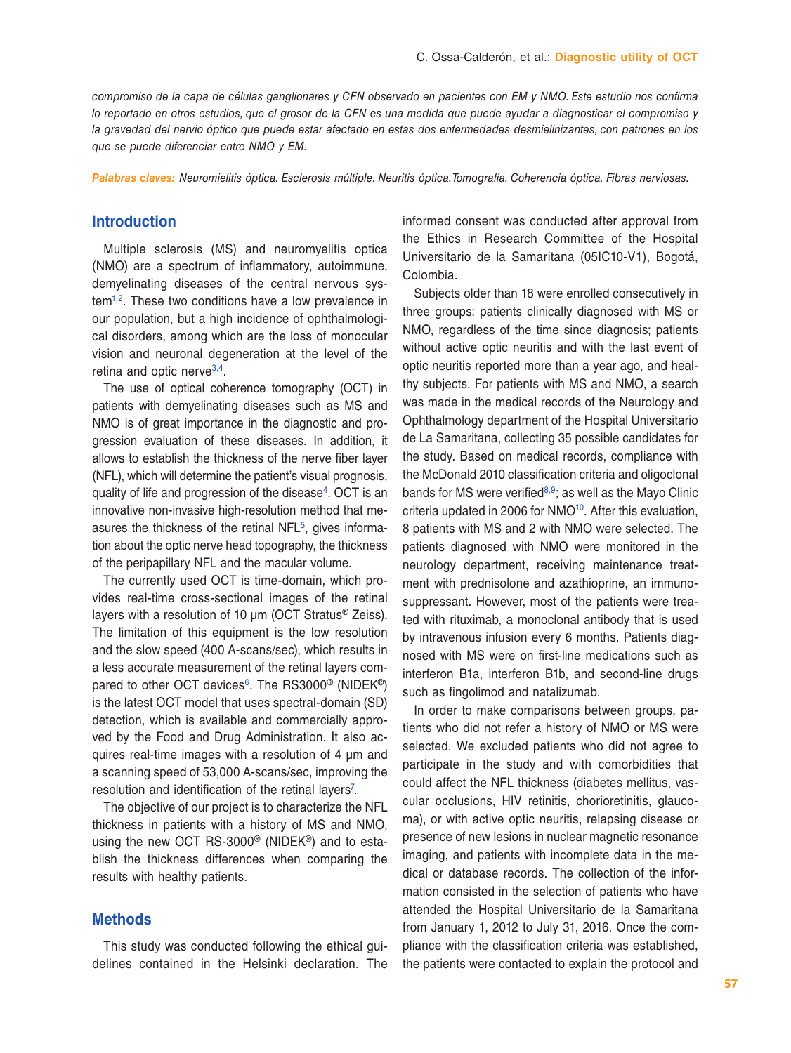*compromiso de la capa de células ganglionares y CFN observado en pacientes con EM y NMO. Este estudio nos confirma lo reportado en otros estudios, que el grosor de la CFN es una medida que puede ayudar a diagnosticar el compromiso y la gravedad del nervio óptico que puede estar afectado en estas dos enfermedades desmielinizantes, con patrones en los que se puede diferenciar entre NMO y EM.*

*Palabras claves: Neuromielitis óptica. Esclerosis múltiple. Neuritis óptica.Tomografía. Coherencia óptica. Fibras nerviosas.*

#### **Introduction**

Multiple sclerosis (MS) and neuromyelitis optica (NMO) are a spectrum of inflammatory, autoimmune, demyelinating diseases of the central nervous sys $tem<sup>1,2</sup>$ . These two conditions have a low prevalence in our population, but a high incidence of ophthalmological disorders, among which are the loss of monocular vision and neuronal degeneration at the level of the retina and optic nerve $3,4$  $3,4$  $3,4$ .

The use of optical coherence tomography (OCT) in patients with demyelinating diseases such as MS and NMO is of great importance in the diagnostic and progression evaluation of these diseases. In addition, it allows to establish the thickness of the nerve fiber layer (NFL), which will determine the patient's visual prognosis, quality of life and progression of the disease<sup>4</sup>. OCT is an innovative non-invasive high-resolution method that measures the thickness of the retinal NFL<sup>5</sup>, gives information about the optic nerve head topography, the thickness of the peripapillary NFL and the macular volume.

The currently used OCT is time-domain, which provides real-time cross-sectional images of the retinal layers with a resolution of 10 μm (OCT Stratus® Zeiss). The limitation of this equipment is the low resolution and the slow speed (400 A-scans/sec), which results in a less accurate measurement of the retinal layers compared to other OCT devices<sup>6</sup>. The RS3000<sup>®</sup> (NIDEK<sup>®</sup>) is the latest OCT model that uses spectral-domain (SD) detection, which is available and commercially approved by the Food and Drug Administration. It also acquires real-time images with a resolution of 4 μm and a scanning speed of 53,000 A-scans/sec, improving the resolution and identification of the retinal layers<sup>7</sup>.

The objective of our project is to characterize the NFL thickness in patients with a history of MS and NMO, using the new OCT RS-3000® (NIDEK®) and to establish the thickness differences when comparing the results with healthy patients.

## **Methods**

This study was conducted following the ethical guidelines contained in the Helsinki declaration. The informed consent was conducted after approval from the Ethics in Research Committee of the Hospital Universitario de la Samaritana (05IC10-V1), Bogotá, Colombia.

Subjects older than 18 were enrolled consecutively in three groups: patients clinically diagnosed with MS or NMO, regardless of the time since diagnosis; patients without active optic neuritis and with the last event of optic neuritis reported more than a year ago, and healthy subjects. For patients with MS and NMO, a search was made in the medical records of the Neurology and Ophthalmology department of the Hospital Universitario de La Samaritana, collecting 35 possible candidates for the study. Based on medical records, compliance with the McDonald 2010 classification criteria and oligoclonal bands for MS were verified $8,9$  $8,9$  $8,9$ ; as well as the Mayo Clinic criteria updated in 2006 for NMO<sup>10</sup>. After this evaluation, 8 patients with MS and 2 with NMO were selected. The patients diagnosed with NMO were monitored in the neurology department, receiving maintenance treatment with prednisolone and azathioprine, an immunosuppressant. However, most of the patients were treated with rituximab, a monoclonal antibody that is used by intravenous infusion every 6 months. Patients diagnosed with MS were on first-line medications such as interferon B1a, interferon B1b, and second-line drugs such as fingolimod and natalizumab.

In order to make comparisons between groups, patients who did not refer a history of NMO or MS were selected. We excluded patients who did not agree to participate in the study and with comorbidities that could affect the NFL thickness (diabetes mellitus, vascular occlusions, HIV retinitis, chorioretinitis, glaucoma), or with active optic neuritis, relapsing disease or presence of new lesions in nuclear magnetic resonance imaging, and patients with incomplete data in the medical or database records. The collection of the information consisted in the selection of patients who have attended the Hospital Universitario de la Samaritana from January 1, 2012 to July 31, 2016. Once the compliance with the classification criteria was established, the patients were contacted to explain the protocol and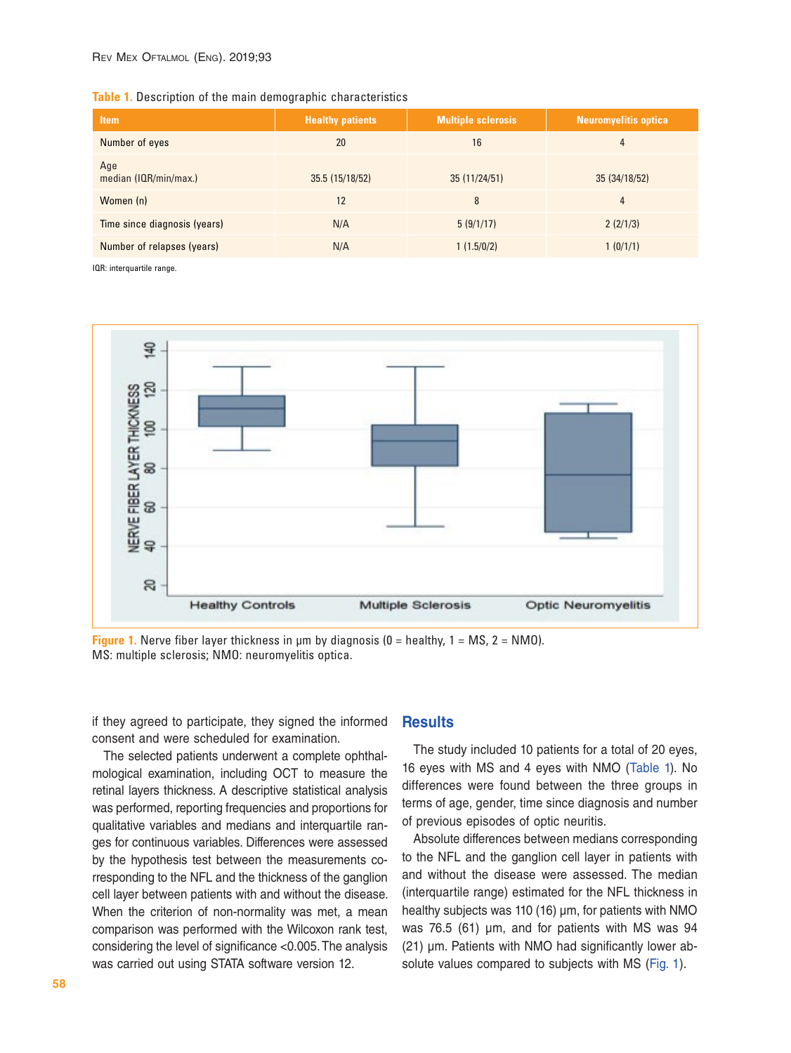| Table 1. Description of the main demographic characteristics |  |  |  |
|--------------------------------------------------------------|--|--|--|
|                                                              |  |  |  |

| <b>Item</b>                  | <b>Healthy patients</b> | <b>Multiple sclerosis</b> | <b>Neuromyelitis optica</b> |
|------------------------------|-------------------------|---------------------------|-----------------------------|
| Number of eyes               | 20                      | 16                        | 4                           |
| Age<br>median (IQR/min/max.) | 35.5 (15/18/52)         | 35(11/24/51)              | 35 (34/18/52)               |
| Women (n)                    | 12                      | 8                         | 4                           |
| Time since diagnosis (years) | N/A                     | 5(9/1/17)                 | 2(2/1/3)                    |
| Number of relapses (years)   | N/A                     | 1(1.5/0/2)                | 1(0/1/1)                    |

IQR: interquartile range.



**Figure 1.** Nerve fiber layer thickness in  $\mu$ m by diagnosis (0 = healthy, 1 = MS, 2 = NMO). MS: multiple sclerosis; NMO: neuromyelitis optica.

if they agreed to participate, they signed the informed consent and were scheduled for examination.

The selected patients underwent a complete ophthalmological examination, including OCT to measure the retinal layers thickness. A descriptive statistical analysis was performed, reporting frequencies and proportions for qualitative variables and medians and interquartile ranges for continuous variables. Differences were assessed by the hypothesis test between the measurements corresponding to the NFL and the thickness of the ganglion cell layer between patients with and without the disease. When the criterion of non-normality was met, a mean comparison was performed with the Wilcoxon rank test, considering the level of significance <0.005. The analysis was carried out using STATA software version 12.

#### **Results**

The study included 10 patients for a total of 20 eyes, 16 eyes with MS and 4 eyes with NMO (Table 1). No differences were found between the three groups in terms of age, gender, time since diagnosis and number of previous episodes of optic neuritis.

Absolute differences between medians corresponding to the NFL and the ganglion cell layer in patients with and without the disease were assessed. The median (interquartile range) estimated for the NFL thickness in healthy subjects was 110 (16) μm, for patients with NMO was 76.5 (61) μm, and for patients with MS was 94 (21) μm. Patients with NMO had significantly lower absolute values compared to subjects with MS (Fig. 1).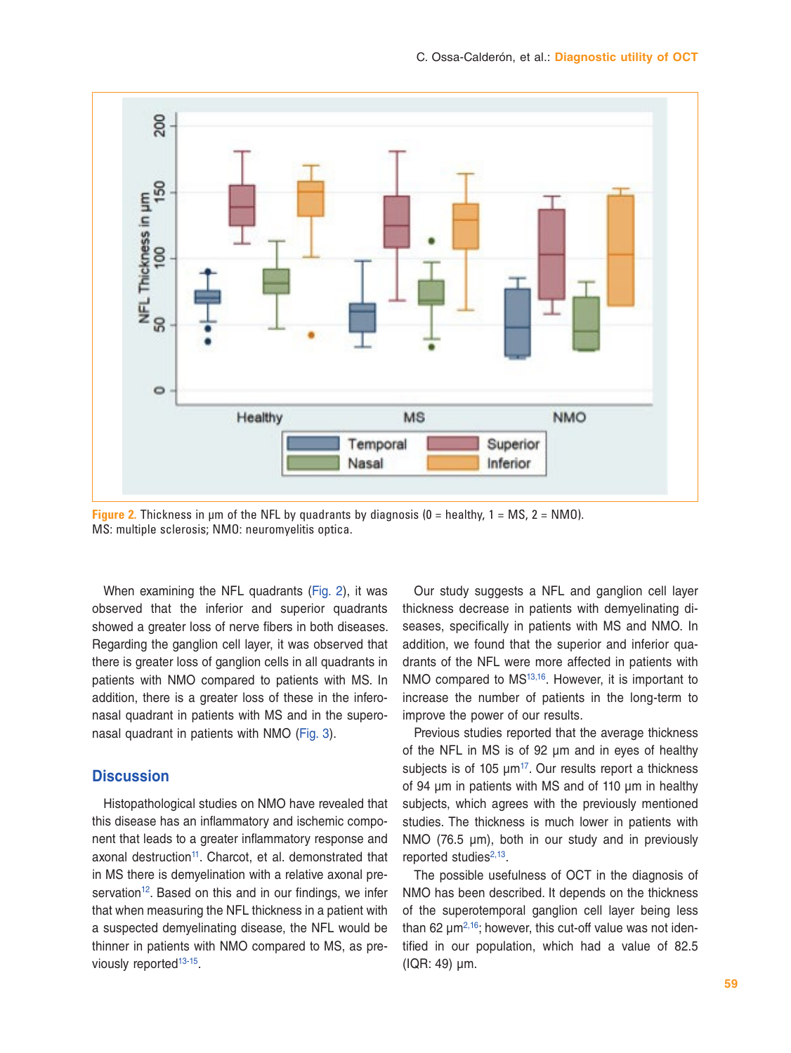

**Figure 2.** Thickness in μm of the NFL by quadrants by diagnosis (0 = healthy, 1 = MS, 2 = NMO). MS: multiple sclerosis; NMO: neuromyelitis optica.

When examining the NFL quadrants (Fig. 2), it was observed that the inferior and superior quadrants showed a greater loss of nerve fibers in both diseases. Regarding the ganglion cell layer, it was observed that there is greater loss of ganglion cells in all quadrants in patients with NMO compared to patients with MS. In addition, there is a greater loss of these in the inferonasal quadrant in patients with MS and in the superonasal quadrant in patients with NMO (Fig. 3).

## **Discussion**

Histopathological studies on NMO have revealed that this disease has an inflammatory and ischemic component that leads to a greater inflammatory response and axonal destruction<sup>11</sup>. Charcot, et al. demonstrated that in MS there is demyelination with a relative axonal preservation<sup>12</sup>. Based on this and in our findings, we infer that when measuring the NFL thickness in a patient with a suspected demyelinating disease, the NFL would be thinner in patients with NMO compared to MS, as pre-viously reported<sup>13-[15](#page-5-13)</sup>.

Our study suggests a NFL and ganglion cell layer thickness decrease in patients with demyelinating diseases, specifically in patients with MS and NMO. In addition, we found that the superior and inferior quadrants of the NFL were more affected in patients with NMO compared to MS<sup>[13](#page-5-12)[,16](#page-5-14)</sup>. However, it is important to increase the number of patients in the long-term to improve the power of our results.

Previous studies reported that the average thickness of the NFL in MS is of 92 μm and in eyes of healthy subjects is of 105  $\mu$ m<sup>[17](#page-5-15)</sup>. Our results report a thickness of 94 μm in patients with MS and of 110 μm in healthy subjects, which agrees with the previously mentioned studies. The thickness is much lower in patients with NMO (76.5 μm), both in our study and in previously reported studies $2,13$ .

The possible usefulness of OCT in the diagnosis of NMO has been described. It depends on the thickness of the superotemporal ganglion cell layer being less than 62  $\mu$ m<sup>2[,16](#page-5-14)</sup>; however, this cut-off value was not identified in our population, which had a value of 82.5 (IQR: 49) μm.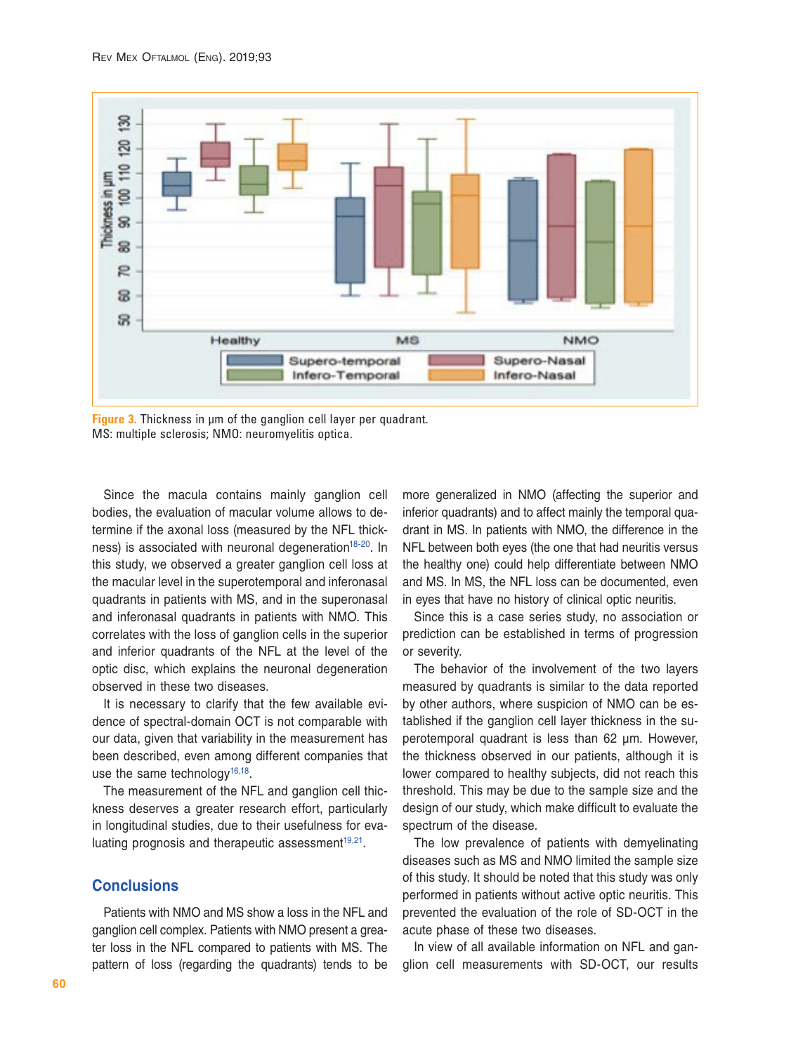

**Figure 3.** Thickness in μm of the ganglion cell layer per quadrant. MS: multiple sclerosis; NMO: neuromyelitis optica.

Since the macula contains mainly ganglion cell bodies, the evaluation of macular volume allows to determine if the axonal loss (measured by the NFL thickness) is associated with neuronal degeneration<sup>18-20</sup>. In this study, we observed a greater ganglion cell loss at the macular level in the superotemporal and inferonasal quadrants in patients with MS, and in the superonasal and inferonasal quadrants in patients with NMO. This correlates with the loss of ganglion cells in the superior and inferior quadrants of the NFL at the level of the optic disc, which explains the neuronal degeneration observed in these two diseases.

It is necessary to clarify that the few available evidence of spectral-domain OCT is not comparable with our data, given that variability in the measurement has been described, even among different companies that use the same technology<sup>16,18</sup>.

The measurement of the NFL and ganglion cell thickness deserves a greater research effort, particularly in longitudinal studies, due to their usefulness for eva-luating prognosis and therapeutic assessment<sup>19,[21](#page-5-19)</sup>.

### **Conclusions**

Patients with NMO and MS show a loss in the NFL and ganglion cell complex. Patients with NMO present a greater loss in the NFL compared to patients with MS. The pattern of loss (regarding the quadrants) tends to be more generalized in NMO (affecting the superior and inferior quadrants) and to affect mainly the temporal quadrant in MS. In patients with NMO, the difference in the NFL between both eyes (the one that had neuritis versus the healthy one) could help differentiate between NMO and MS. In MS, the NFL loss can be documented, even in eyes that have no history of clinical optic neuritis.

Since this is a case series study, no association or prediction can be established in terms of progression or severity.

The behavior of the involvement of the two layers measured by quadrants is similar to the data reported by other authors, where suspicion of NMO can be established if the ganglion cell layer thickness in the superotemporal quadrant is less than 62 μm. However, the thickness observed in our patients, although it is lower compared to healthy subjects, did not reach this threshold. This may be due to the sample size and the design of our study, which make difficult to evaluate the spectrum of the disease.

The low prevalence of patients with demyelinating diseases such as MS and NMO limited the sample size of this study. It should be noted that this study was only performed in patients without active optic neuritis. This prevented the evaluation of the role of SD-OCT in the acute phase of these two diseases.

In view of all available information on NFL and ganglion cell measurements with SD-OCT, our results